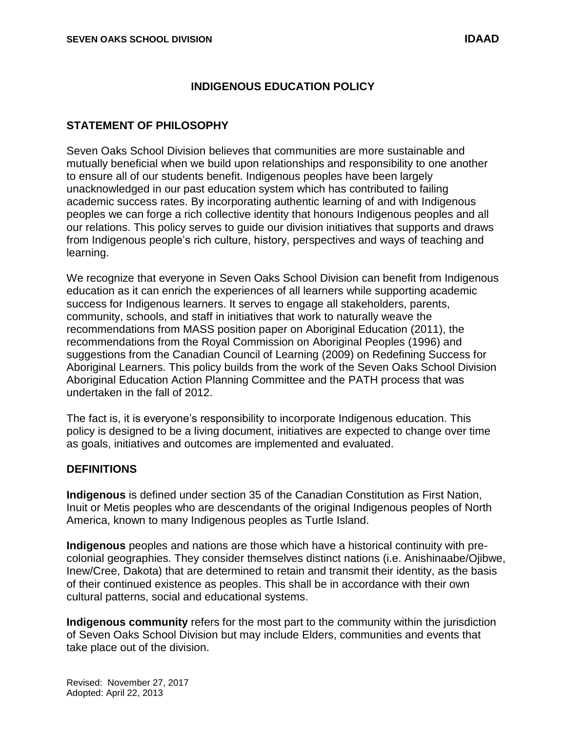#### **INDIGENOUS EDUCATION POLICY**

#### **STATEMENT OF PHILOSOPHY**

Seven Oaks School Division believes that communities are more sustainable and mutually beneficial when we build upon relationships and responsibility to one another to ensure all of our students benefit. Indigenous peoples have been largely unacknowledged in our past education system which has contributed to failing academic success rates. By incorporating authentic learning of and with Indigenous peoples we can forge a rich collective identity that honours Indigenous peoples and all our relations. This policy serves to guide our division initiatives that supports and draws from Indigenous people's rich culture, history, perspectives and ways of teaching and learning.

We recognize that everyone in Seven Oaks School Division can benefit from Indigenous education as it can enrich the experiences of all learners while supporting academic success for Indigenous learners. It serves to engage all stakeholders, parents, community, schools, and staff in initiatives that work to naturally weave the recommendations from MASS position paper on Aboriginal Education (2011), the recommendations from the Royal Commission on Aboriginal Peoples (1996) and suggestions from the Canadian Council of Learning (2009) on Redefining Success for Aboriginal Learners. This policy builds from the work of the Seven Oaks School Division Aboriginal Education Action Planning Committee and the PATH process that was undertaken in the fall of 2012.

The fact is, it is everyone's responsibility to incorporate Indigenous education. This policy is designed to be a living document, initiatives are expected to change over time as goals, initiatives and outcomes are implemented and evaluated.

#### **DEFINITIONS**

**Indigenous** is defined under section 35 of the Canadian Constitution as First Nation, Inuit or Metis peoples who are descendants of the original Indigenous peoples of North America, known to many Indigenous peoples as Turtle Island.

**Indigenous** peoples and nations are those which have a historical continuity with precolonial geographies. They consider themselves distinct nations (i.e. Anishinaabe/Ojibwe, Inew/Cree, Dakota) that are determined to retain and transmit their identity, as the basis of their continued existence as peoples. This shall be in accordance with their own cultural patterns, social and educational systems.

**Indigenous community** refers for the most part to the community within the jurisdiction of Seven Oaks School Division but may include Elders, communities and events that take place out of the division.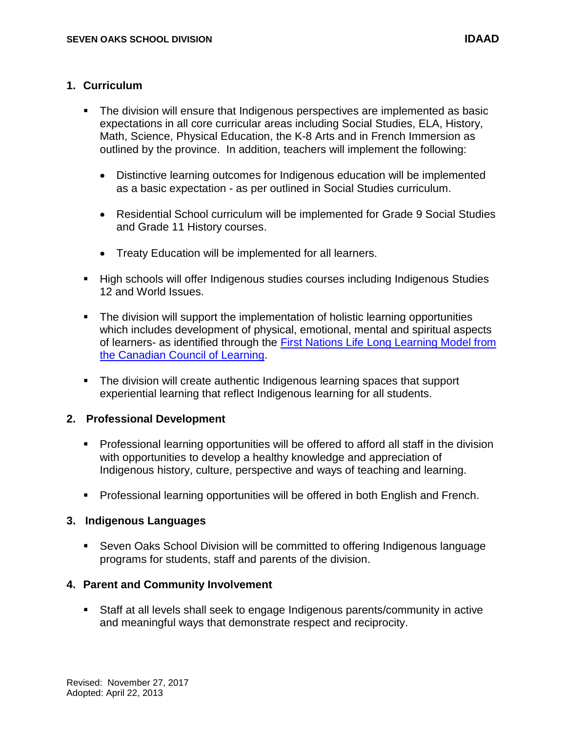- The division will ensure that Indigenous perspectives are implemented as basic expectations in all core curricular areas including Social Studies, ELA, History, Math, Science, Physical Education, the K-8 Arts and in French Immersion as outlined by the province. In addition, teachers will implement the following:
	- Distinctive learning outcomes for Indigenous education will be implemented as a basic expectation - as per outlined in Social Studies curriculum.
	- Residential School curriculum will be implemented for Grade 9 Social Studies and Grade 11 History courses.
	- Treaty Education will be implemented for all learners.
- High schools will offer Indigenous studies courses including Indigenous Studies 12 and World Issues.
- The division will support the implementation of holistic learning opportunities which includes development of physical, emotional, mental and spiritual aspects of learners- as identified through the [First Nations Life Long Learning Model from](http://www.afn.ca/uploads/files/education/5._2007_redefining_how_success_is_measured_en.pdf)  [the Canadian Council of Learning.](http://www.afn.ca/uploads/files/education/5._2007_redefining_how_success_is_measured_en.pdf)
- The division will create authentic Indigenous learning spaces that support experiential learning that reflect Indigenous learning for all students.

## **2. Professional Development**

- Professional learning opportunities will be offered to afford all staff in the division with opportunities to develop a healthy knowledge and appreciation of Indigenous history, culture, perspective and ways of teaching and learning.
- **Professional learning opportunities will be offered in both English and French.**

#### **3. Indigenous Languages**

 Seven Oaks School Division will be committed to offering Indigenous language programs for students, staff and parents of the division.

## **4. Parent and Community Involvement**

 Staff at all levels shall seek to engage Indigenous parents/community in active and meaningful ways that demonstrate respect and reciprocity.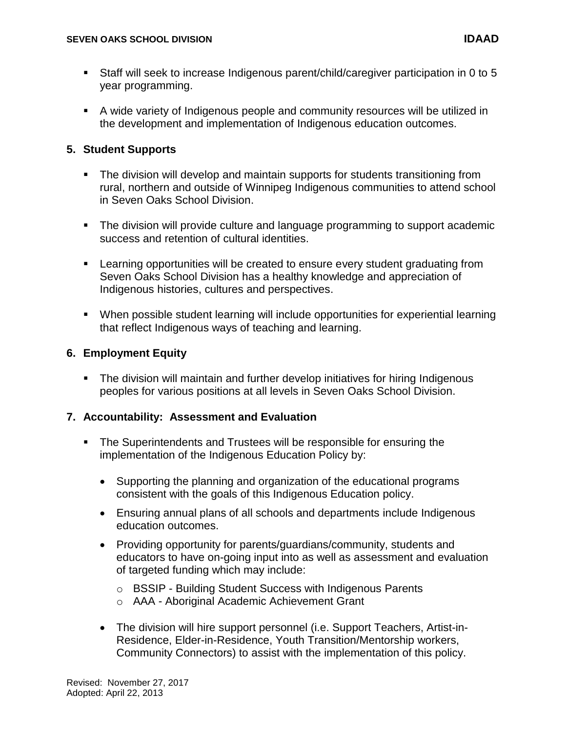- Staff will seek to increase Indigenous parent/child/caregiver participation in 0 to 5 year programming.
- A wide variety of Indigenous people and community resources will be utilized in the development and implementation of Indigenous education outcomes.

## **5. Student Supports**

- The division will develop and maintain supports for students transitioning from rural, northern and outside of Winnipeg Indigenous communities to attend school in Seven Oaks School Division.
- The division will provide culture and language programming to support academic success and retention of cultural identities.
- Learning opportunities will be created to ensure every student graduating from Seven Oaks School Division has a healthy knowledge and appreciation of Indigenous histories, cultures and perspectives.
- When possible student learning will include opportunities for experiential learning that reflect Indigenous ways of teaching and learning.

## **6. Employment Equity**

 The division will maintain and further develop initiatives for hiring Indigenous peoples for various positions at all levels in Seven Oaks School Division.

## **7. Accountability: Assessment and Evaluation**

- **The Superintendents and Trustees will be responsible for ensuring the** implementation of the Indigenous Education Policy by:
	- Supporting the planning and organization of the educational programs consistent with the goals of this Indigenous Education policy.
	- Ensuring annual plans of all schools and departments include Indigenous education outcomes.
	- Providing opportunity for parents/guardians/community, students and educators to have on-going input into as well as assessment and evaluation of targeted funding which may include:
		- o BSSIP Building Student Success with Indigenous Parents
		- o AAA Aboriginal Academic Achievement Grant
	- The division will hire support personnel (i.e. Support Teachers, Artist-in-Residence, Elder-in-Residence, Youth Transition/Mentorship workers, Community Connectors) to assist with the implementation of this policy.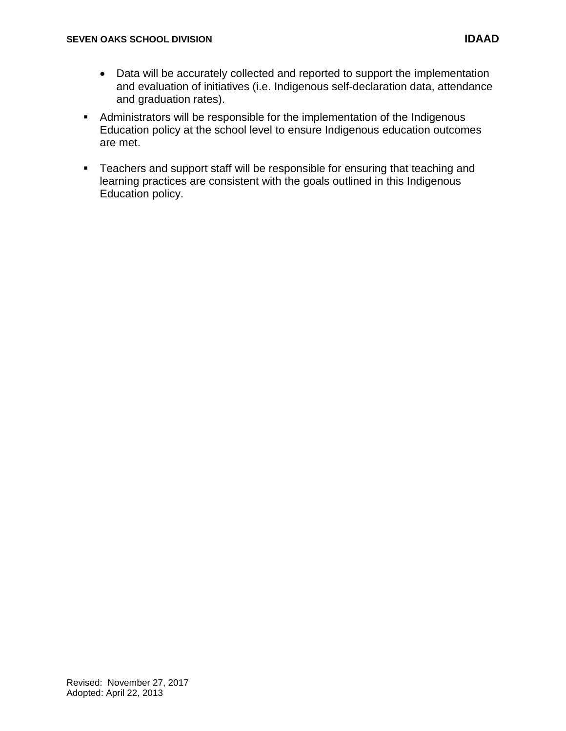- Data will be accurately collected and reported to support the implementation and evaluation of initiatives (i.e. Indigenous self-declaration data, attendance and graduation rates).
- **Administrators will be responsible for the implementation of the Indigenous** Education policy at the school level to ensure Indigenous education outcomes are met.
- **Teachers and support staff will be responsible for ensuring that teaching and** learning practices are consistent with the goals outlined in this Indigenous Education policy.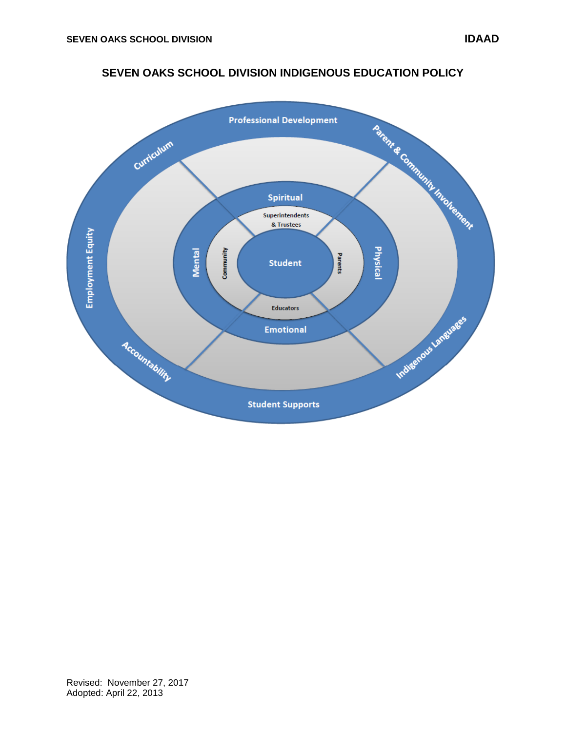# **SEVEN OAKS SCHOOL DIVISION INDIGENOUS EDUCATION POLICY**